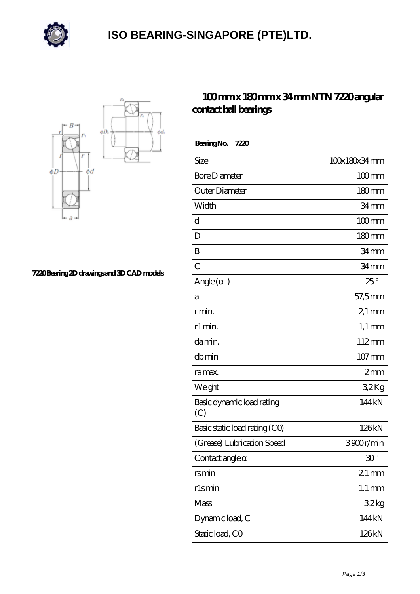

## **[ISO BEARING-SINGAPORE \(PTE\)LTD.](https://m.calvadosbnb.com)**



**[7220 Bearing 2D drawings and 3D CAD models](https://m.calvadosbnb.com/pic-65129428.html)**

## **[100 mm x 180 mm x 34 mm NTN 7220 angular](https://m.calvadosbnb.com/ntn-7220-bearing/) [contact ball bearings](https://m.calvadosbnb.com/ntn-7220-bearing/)**

| 100x180x34mm           |
|------------------------|
| $100 \text{mm}$        |
| 180mm                  |
| 34 <sub>mm</sub>       |
| $100$ mm               |
| 180mm                  |
| 34 <sub>mm</sub>       |
| 34mm                   |
| $25^\circ$             |
| 57,5mm                 |
| $21 \,\mathrm{mm}$     |
| $1,1 \text{ mm}$       |
| 112mm                  |
| 107 mm                 |
| 2mm                    |
| 32Kg                   |
| 144 kN                 |
| 126kN                  |
| 3900r/min              |
| $\mathfrak{V}^{\circ}$ |
| $21$ mm                |
| $1.1 \, \text{mm}$     |
| 32kg                   |
| 144 kN                 |
| 126kN                  |
|                        |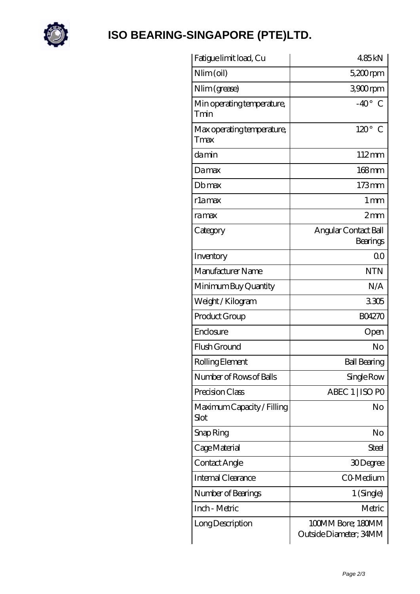

## **[ISO BEARING-SINGAPORE \(PTE\)LTD.](https://m.calvadosbnb.com)**

| Fatigue limit load, Cu             | 485kN                                       |
|------------------------------------|---------------------------------------------|
| Nlim (oil)                         | $5,200$ rpm                                 |
| Nlim (grease)                      | 3900rpm                                     |
| Min operating temperature,<br>Tmin | $-40^{\circ}$ C                             |
| Max operating temperature,<br>Tmax | $120^\circ$ C                               |
| damin                              | $112 \text{mm}$                             |
| Damax                              | 168mm                                       |
| Dbmax                              | $173$ mm                                    |
| rlamax                             | $1 \text{ mm}$                              |
| ramax                              | 2mm                                         |
| Category                           | Angular Contact Ball<br>Bearings            |
| Inventory                          | 0 <sub>0</sub>                              |
| Manufacturer Name                  | <b>NTN</b>                                  |
| Minimum Buy Quantity               | N/A                                         |
| Weight / Kilogram                  | 3305                                        |
| Product Group                      | <b>BO4270</b>                               |
| Enclosure                          | Open                                        |
| Flush Ground                       | No                                          |
| Rolling Element                    | <b>Ball Bearing</b>                         |
| Number of Rows of Balls            | Single Row                                  |
| Precision Class                    | ABEC 1   ISO PO                             |
| Maximum Capacity / Filling<br>Slot | No                                          |
| Snap Ring                          | No                                          |
| Cage Material                      | Steel                                       |
| Contact Angle                      | 30Degree                                    |
| Internal Clearance                 | CO-Medium                                   |
| Number of Bearings                 | 1 (Single)                                  |
| Inch - Metric                      | Metric                                      |
| Long Description                   | 100MM Bore; 180MM<br>Outside Diameter; 34MM |